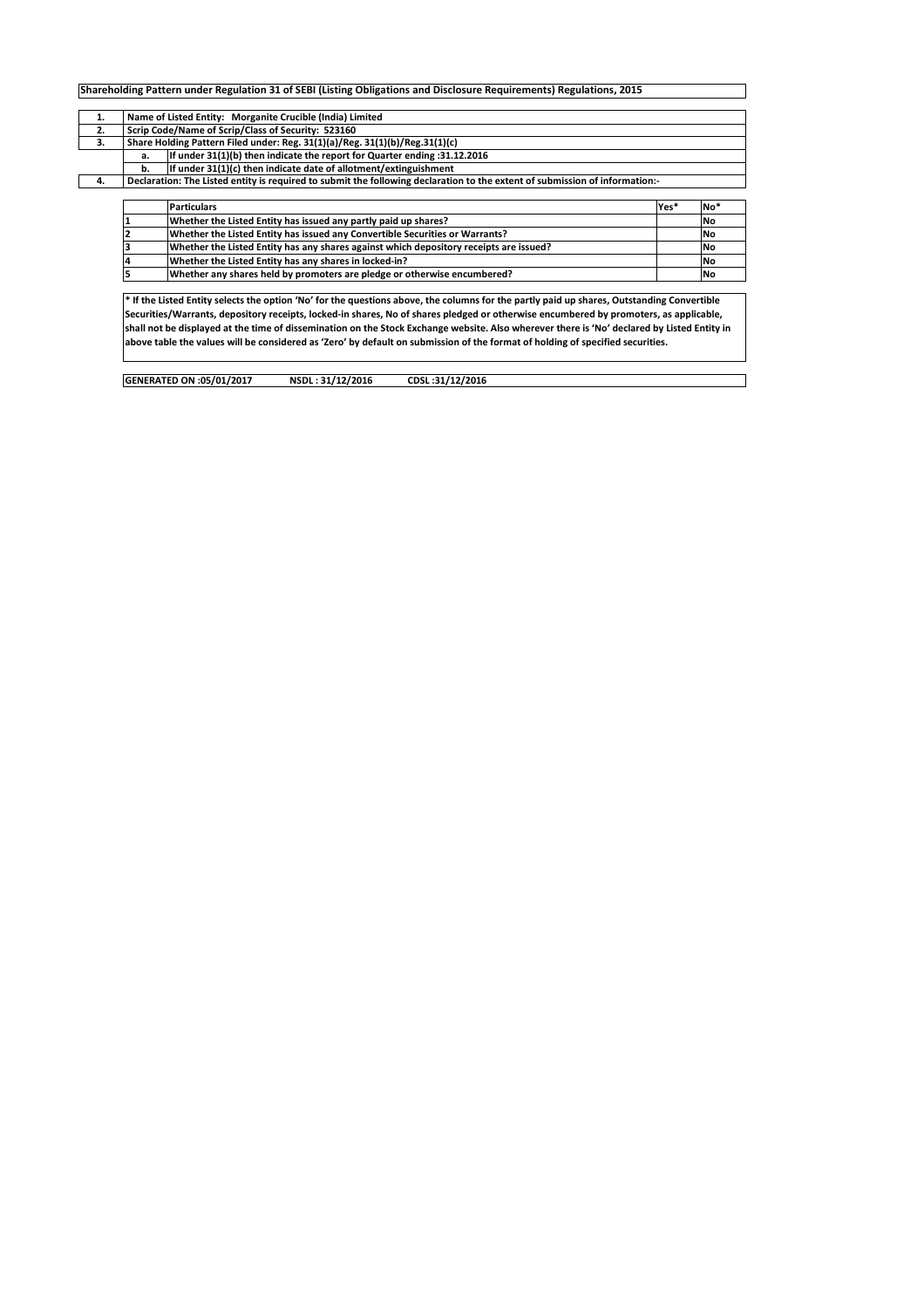| 1. |    | Name of Listed Entity: Morganite Crucible (India) Limited                                                                   |      |                 |
|----|----|-----------------------------------------------------------------------------------------------------------------------------|------|-----------------|
| 2. |    | Scrip Code/Name of Scrip/Class of Security: 523160                                                                          |      |                 |
| 3. |    | Share Holding Pattern Filed under: Reg. 31(1)(a)/Reg. 31(1)(b)/Reg.31(1)(c)                                                 |      |                 |
|    | a. | If under 31(1)(b) then indicate the report for Quarter ending: 31.12.2016                                                   |      |                 |
|    | b. | If under 31(1)(c) then indicate date of allotment/extinguishment                                                            |      |                 |
| 4. |    | Declaration: The Listed entity is required to submit the following declaration to the extent of submission of information:- |      |                 |
|    |    |                                                                                                                             |      |                 |
|    |    | <b>Particulars</b>                                                                                                          | Yes* | No <sup>*</sup> |
|    |    | Whether the Listed Entity has issued any partly paid up shares?                                                             |      | l No            |
|    |    | Whether the Listed Entity has issued any Convertible Securities or Warrants?                                                |      | <b>No</b>       |
|    |    |                                                                                                                             |      |                 |
|    |    | Whether the Listed Entity has any shares against which depository receipts are issued?                                      |      | <b>No</b>       |
|    |    | Whether the Listed Entity has any shares in locked-in?                                                                      |      | <b>No</b>       |

shall not be displayed at the time of dissemination on the Stock Exchange website. Also wherever there is 'No' declared by Listed Entity in above table the values will be considered as 'Zero' by default on submission of the format of holding of specified securities.

 $\overline{\phantom{0}}$ 

| GENERATED ON :05/01/2017 | NSDL: 31/12/2016 | CDSL:31/12/2016 |
|--------------------------|------------------|-----------------|
|                          |                  |                 |
|                          |                  |                 |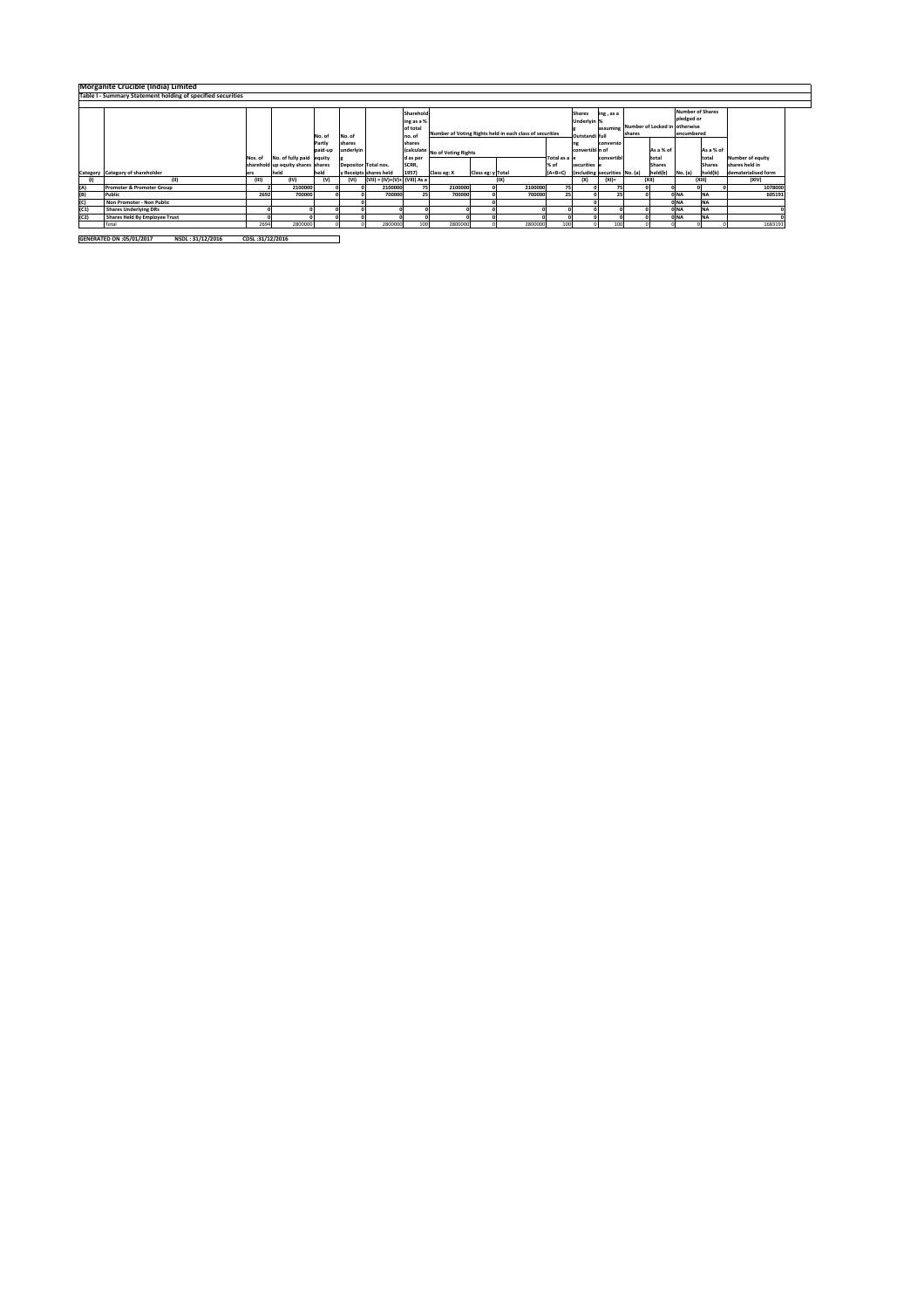|                         | Morganite Crucible (India) Limited<br>Table I - Summary Statement holding of specified securities |         |                                   |         |           |                               |             |                                |                   |                                                          |                 |              |                               |           |               |                               |               |                         |
|-------------------------|---------------------------------------------------------------------------------------------------|---------|-----------------------------------|---------|-----------|-------------------------------|-------------|--------------------------------|-------------------|----------------------------------------------------------|-----------------|--------------|-------------------------------|-----------|---------------|-------------------------------|---------------|-------------------------|
|                         |                                                                                                   |         |                                   |         |           |                               |             |                                |                   |                                                          |                 |              |                               |           |               |                               |               |                         |
|                         |                                                                                                   |         |                                   |         |           |                               | Sharehold   |                                |                   |                                                          |                 | Shares       | ing, as a                     |           |               | <b>Number of Shares</b>       |               |                         |
|                         |                                                                                                   |         |                                   |         |           |                               | ing as a %  |                                |                   |                                                          |                 | Underlyin %  |                               |           |               | pledged or                    |               |                         |
|                         |                                                                                                   |         |                                   |         |           |                               | of total    |                                |                   |                                                          |                 |              | assumine                      |           |               | Number of Locked in otherwise |               |                         |
|                         |                                                                                                   |         |                                   | No. of  | No. of    |                               | no. of      |                                |                   | Number of Voting Rights held in each class of securities | Outstandi full  |              | shares                        |           | encumbered    |                               |               |                         |
|                         |                                                                                                   |         |                                   | Partly  | shares    |                               | shares      |                                |                   |                                                          |                 | conversio    |                               |           |               |                               |               |                         |
|                         |                                                                                                   |         |                                   | paid-up | underlyin |                               |             | (calculate No of Voting Rights |                   |                                                          | convertibl n of |              |                               | As a % of |               | As a % of                     |               |                         |
|                         |                                                                                                   | Nos. of | No. of fully paid equity          |         |           |                               | d as per    |                                |                   |                                                          | Total as a      |              | convertibl                    |           | total         |                               | total         | <b>Number of equity</b> |
|                         |                                                                                                   |         | sharehold up equity shares shares |         |           | Depositor Total nos.          | <b>SCRR</b> |                                |                   |                                                          | % of            | securities e |                               |           | <b>Shares</b> |                               | <b>Shares</b> | shares held in          |
|                         | Category Category of shareholder                                                                  | ers     | held                              | held    |           | y Receipts shares held        | 1957)       | Class eg: X                    | Class eg: y Total |                                                          | $(A+B+C)$       |              | (including securities No. (a) |           | held(b)       | No. (a)                       | held(b)       | dematerialised form     |
|                         | m                                                                                                 | (III)   | (IV)                              | (v)     | (VI)      | (VII) = (IV)+(V)+ (VIII) As a |             |                                |                   | (IX)                                                     |                 | (X)          | $(XI)$ =                      |           | (XII)         |                               | (XIII)        | (XIV)                   |
| (A)                     | Promoter & Promoter Group                                                                         |         | 2100000                           |         |           | 2100000                       | 75          | 2100000                        |                   | 2100000                                                  |                 |              |                               |           |               |                               |               | 1078000                 |
| (B)                     | Public                                                                                            | 2692    | 700000                            |         |           | 700000                        |             | 700000                         |                   | 700000                                                   |                 |              |                               |           |               | <b>OINA</b>                   | <b>NA</b>     | 60519                   |
| $\overline{\text{(c)}}$ | Non Promoter - Non Public                                                                         |         |                                   |         |           |                               |             |                                |                   |                                                          |                 |              |                               |           |               | ONA                           | <b>NA</b>     |                         |
| (C1)                    | <b>Shares Underlying DRs</b>                                                                      |         |                                   |         |           |                               |             |                                |                   |                                                          |                 |              |                               |           |               | ONA                           | <b>NA</b>     |                         |
| (C2)                    | <b>Shares Held By Employee Trust</b>                                                              |         |                                   |         |           |                               |             |                                |                   |                                                          |                 |              |                               |           |               | <b>OINA</b>                   | <b>NA</b>     |                         |
|                         | Total                                                                                             | 2694    | 2800000                           |         |           | 2800000                       | 100         | 2800000                        |                   | 2800000                                                  |                 |              |                               |           |               |                               |               | 1683191                 |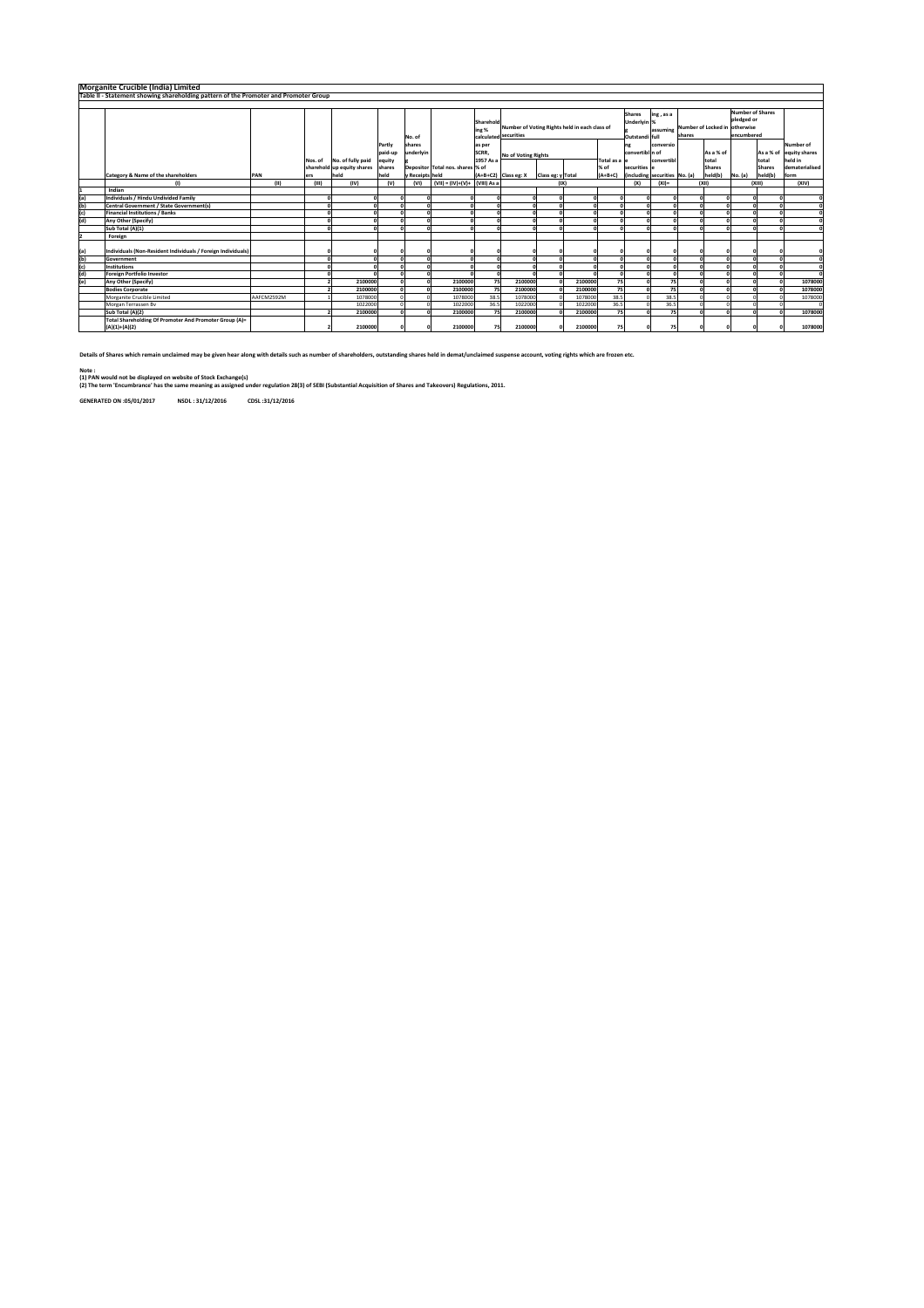|     | Morganite Crucible (India) Limited                                                   |            |         |                            |         |                 |                                  |                    |                                               |                   |         |               |                              |                               |                |                               |                                       |               |                          |
|-----|--------------------------------------------------------------------------------------|------------|---------|----------------------------|---------|-----------------|----------------------------------|--------------------|-----------------------------------------------|-------------------|---------|---------------|------------------------------|-------------------------------|----------------|-------------------------------|---------------------------------------|---------------|--------------------------|
|     | Table II - Statement showing shareholding pattern of the Promoter and Promoter Group |            |         |                            |         |                 |                                  |                    |                                               |                   |         |               |                              |                               |                |                               |                                       |               |                          |
|     |                                                                                      |            |         |                            |         |                 |                                  |                    |                                               |                   |         |               |                              |                               |                |                               |                                       |               |                          |
|     |                                                                                      |            |         |                            |         |                 |                                  | Sharehold<br>ing % | Number of Voting Rights held in each class of |                   |         |               | <b>Shares</b><br>Underlyin % | ing, as a<br>assuming         |                | Number of Locked in otherwise | <b>Number of Shares</b><br>pledged or |               |                          |
|     |                                                                                      |            |         |                            |         | No. of          |                                  |                    | calculated securities                         |                   |         |               | Outstandi full               |                               | <b>Ishares</b> |                               | encumbered                            |               |                          |
|     |                                                                                      |            |         |                            | Partly  | shares          |                                  | as per             |                                               |                   |         |               |                              | conversio                     |                |                               |                                       |               | Number of                |
|     |                                                                                      |            |         |                            | paid-up | underlyin       |                                  | SCRR.              | No of Voting Rights                           |                   |         |               | convertibl n of              |                               |                | As a % of                     |                                       |               | As a % of lequity shares |
|     |                                                                                      |            | Nos. of | No. of fully paid          | equity  |                 |                                  | 1957 As a          |                                               |                   |         | Total as a le |                              | convertibl                    |                | total                         |                                       | total         | held in                  |
|     |                                                                                      |            |         | sharehold up equity shares | shares  |                 | Depositor Total nos. shares % of |                    |                                               |                   |         | % of          | securities                   |                               |                | <b>Shares</b>                 |                                       | <b>Shares</b> | dematerialised           |
|     | Category & Name of the shareholders                                                  | PAN        | ers     | held                       | held    | v Receipts held |                                  |                    | (A+B+C2) Class eg: X                          | Class eg: y Total |         | $(A+B+C)$     |                              | (including securities No. (a) |                | held(b)                       | No. (a)                               | held(b)       | form                     |
|     | (1)                                                                                  | (II)       | (III)   | (IV)                       | (v)     | (VI)            | (VII) = (IV)+(V)+ (VIII) As a    |                    |                                               | (1)               |         |               | (X)                          | $(XI) =$                      |                | (XII)                         |                                       | (XIII)        | (XIV)                    |
|     | Indian                                                                               |            |         |                            |         |                 |                                  |                    |                                               |                   |         |               |                              |                               |                |                               |                                       |               |                          |
| (a) | Individuals / Hindu Undivided Family                                                 |            |         |                            |         |                 |                                  |                    |                                               |                   |         |               |                              |                               |                | $\sqrt{2}$                    |                                       |               |                          |
| (b) | Central Government / State Government(s)                                             |            |         |                            |         |                 |                                  |                    |                                               |                   |         |               |                              |                               |                |                               |                                       |               |                          |
| (c) | <b>Financial Institutions / Banks</b>                                                |            |         |                            |         |                 |                                  |                    |                                               |                   |         |               |                              |                               |                |                               |                                       |               | $\Omega$                 |
| (d) | Any Other (Specify)                                                                  |            |         |                            |         |                 |                                  |                    |                                               |                   |         |               |                              |                               |                |                               |                                       |               | $\Omega$                 |
|     | Sub Total (A)(1)                                                                     |            |         |                            |         |                 |                                  |                    |                                               |                   |         |               |                              |                               |                |                               |                                       |               |                          |
|     | Foreign                                                                              |            |         |                            |         |                 |                                  |                    |                                               |                   |         |               |                              |                               |                |                               |                                       |               |                          |
| (a) | Individuals (Non-Resident Individuals / Foreign Individuals)                         |            |         |                            |         |                 |                                  |                    |                                               |                   |         |               |                              |                               |                |                               |                                       |               |                          |
| (b) | Government                                                                           |            |         |                            |         | n               |                                  | n                  |                                               |                   |         |               |                              |                               |                |                               |                                       |               | $\Omega$                 |
| (c) | Institutions                                                                         |            |         |                            |         |                 |                                  | n                  |                                               |                   |         |               |                              |                               |                |                               |                                       |               | $\Omega$                 |
| (d) | <b>Foreign Portfolio Investor</b>                                                    |            |         |                            |         |                 |                                  |                    |                                               |                   |         |               |                              |                               |                |                               |                                       |               |                          |
| (e) | Any Other (Specify)                                                                  |            |         | 2100000                    |         |                 | 2100000                          | 75                 | 2100000                                       |                   | 2100000 | 75            |                              | 75                            |                |                               |                                       |               | 1078000                  |
|     | <b>Bodies Corporate</b>                                                              |            |         | 2100000                    |         |                 | 2100000                          | 75                 | 2100000                                       |                   | 2100000 | 75            |                              | 75                            |                |                               |                                       |               | 1078000                  |
|     | Morganite Crucible Limited                                                           | AAFCM2592M |         | 1078000                    |         |                 | 1078000                          | 38.5               | 1078000                                       |                   | 1078000 | 38.5          |                              | 38.5                          |                |                               |                                       |               | 1078000                  |
|     | Morgan Terrassen Bv                                                                  |            |         | 1022000                    |         |                 | 1022000                          | 36.5               | 1022000                                       |                   | 1022000 | 36.5          |                              | 36.5                          |                |                               |                                       |               | $\theta$                 |
|     | Sub Total (A)(2)                                                                     |            |         | 2100000                    |         |                 | 2100000                          | 75                 | 2100000                                       |                   | 2100000 | 75            |                              | 75                            |                |                               |                                       |               | 1078000                  |
|     | Total Shareholding Of Promoter And Promoter Group (A)=<br>$(A)(1)+(A)(2)$            |            |         | 2100000                    |         |                 | 2100000                          | 75                 | 2100000                                       |                   | 2100000 | 75            |                              | 75                            |                | $\Omega$                      |                                       |               | 1078000                  |

Details of Shares which remain undaimed may be given hear along with details such as number of shareholders, outstanding shares held in demat/unclaimed suspense account, voting rights which are frozen etc.

**Note :**

(1) PAN would not be displayed on website of Stock Exchange(s)<br>(2) The term 'Encumbrance' has the same meaning as assigned under regulation 28(3) of SEBI (Substantial Acquisition of Shares and Takeovers) Regulations, 2011.

**GENERATED ON :05/01/2017 NSDL : 31/12/2016 CDSL :31/12/2016**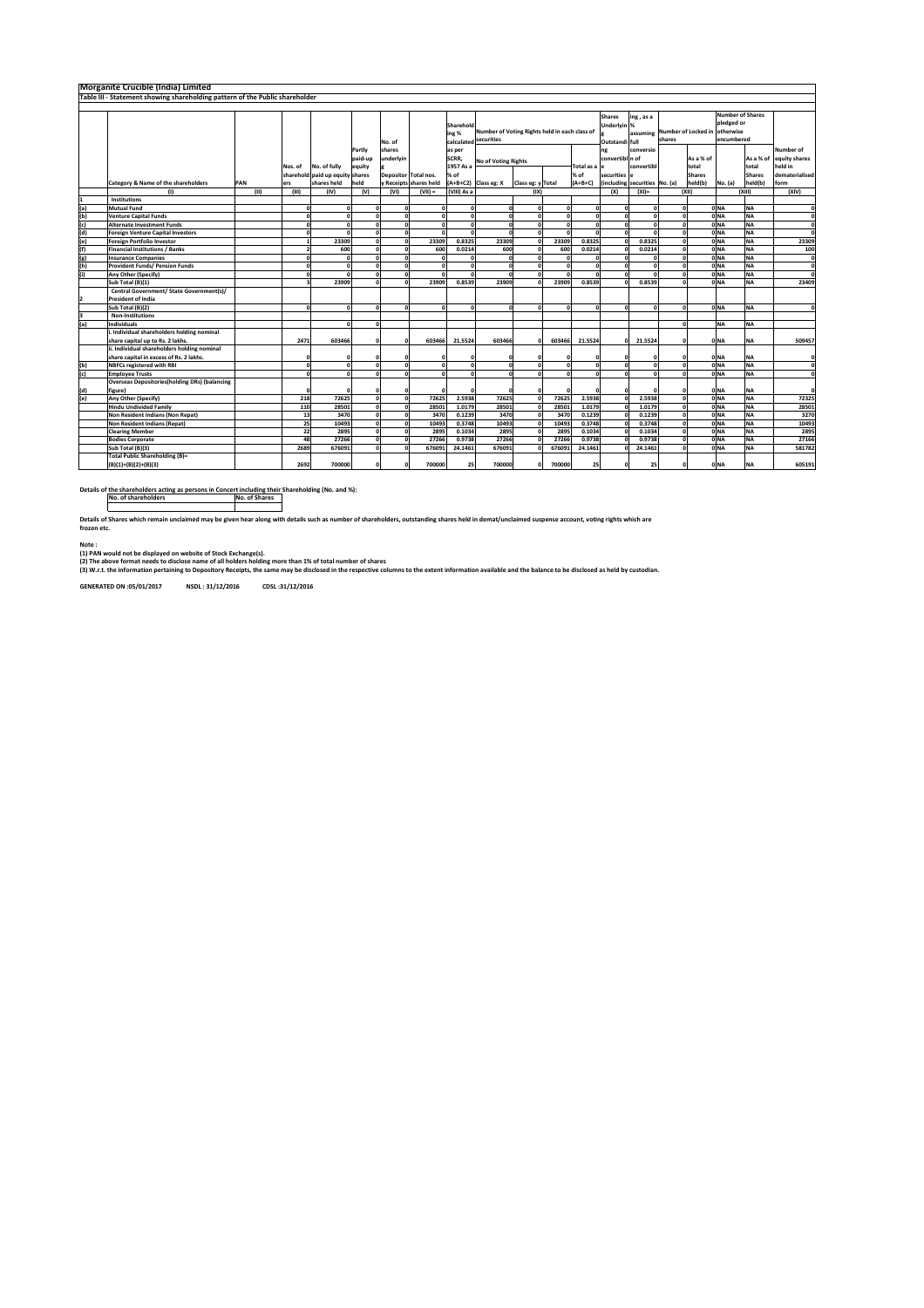|     | Morganite Crucible (India) Limited                                           |        |                         |                                 |                   |                      |                        |                                  |                                                             |                   |                                                |                       |                                         |                               |                                                     |               |                                    |                        |                            |
|-----|------------------------------------------------------------------------------|--------|-------------------------|---------------------------------|-------------------|----------------------|------------------------|----------------------------------|-------------------------------------------------------------|-------------------|------------------------------------------------|-----------------------|-----------------------------------------|-------------------------------|-----------------------------------------------------|---------------|------------------------------------|------------------------|----------------------------|
|     | Table III - Statement showing shareholding pattern of the Public shareholder |        |                         |                                 |                   |                      |                        |                                  |                                                             |                   |                                                |                       |                                         |                               |                                                     |               |                                    |                        |                            |
|     |                                                                              |        |                         |                                 |                   |                      |                        |                                  |                                                             |                   |                                                |                       |                                         |                               |                                                     |               |                                    |                        |                            |
|     |                                                                              | No. of |                         |                                 |                   |                      |                        | Sharehold<br>ing %<br>calculated | Number of Voting Rights held in each class of<br>securities |                   | <b>Shares</b><br>Underlyin %<br>Outstandi full | ing, as a<br>assuming | Number of Locked in otherwise<br>shares |                               | <b>Number of Shares</b><br>pledged or<br>encumbered |               |                                    |                        |                            |
|     |                                                                              |        |                         |                                 | Partly<br>paid-up | shares<br>underlyin  |                        | as per<br>SCRR,                  |                                                             |                   |                                                |                       | ng<br>convertibl n of                   | conversio                     |                                                     | As a % of     |                                    | As a % of              | Number of<br>equity shares |
|     |                                                                              |        | Nos. of                 | No. of fully                    | equity            |                      |                        | 1957 As a                        | <b>No of Voting Rights</b>                                  |                   |                                                | Total as a            |                                         | convertibl                    |                                                     | total         |                                    | total                  | held in                    |
|     |                                                                              |        |                         | sharehold paid up equity shares |                   |                      | Depositor Total nos.   | % of                             |                                                             |                   |                                                | % of                  | securities e                            |                               |                                                     | <b>Shares</b> |                                    | <b>Shares</b>          | dematerialised             |
|     | Category & Name of the shareholders                                          | PAN    | ers                     | shares held                     | held              |                      | y Receipts shares held |                                  | A+B+C2) Class eg: X                                         | Class eg: y Total |                                                | $(A+B+C)$             |                                         | (including securities No. (a) |                                                     | held(b)       | No. (a)                            | held(b)                | form                       |
|     | (1)                                                                          | (III)  | (III)                   | (IV)                            | (V)               | (VI)                 | $(VII) =$              | (VIII) As a                      |                                                             | (IX)              |                                                |                       | (X)                                     | $(XI)$ =                      |                                                     | (X  )         |                                    | (XIII)                 | (XIV)                      |
|     | Institutions                                                                 |        |                         |                                 |                   |                      |                        |                                  |                                                             |                   |                                                |                       |                                         |                               |                                                     |               |                                    |                        |                            |
| (a) | <b>Mutual Fund</b>                                                           |        | $\Omega$                | n                               |                   | $\sqrt{2}$           |                        | $\Omega$                         |                                                             |                   | $\sqrt{2}$                                     |                       |                                         | $\Omega$                      | $\sqrt{2}$                                          |               | <b>ONA</b>                         | <b>NA</b>              | c                          |
| (b) | <b>Venture Capital Funds</b>                                                 |        | $\mathbf{a}$            |                                 |                   |                      |                        | $\Omega$                         |                                                             |                   |                                                |                       |                                         | $\Omega$                      |                                                     |               | 0 <sub>NA</sub>                    | <b>NA</b>              | ¢                          |
| (c) | <b>Alternate Investment Funds</b>                                            |        | $\Omega$                |                                 |                   | $\Omega$             |                        | $\Omega$                         |                                                             |                   | $\sqrt{2}$                                     | r                     |                                         | $\Omega$                      |                                                     |               | ONA                                | <b>NA</b>              | ¢                          |
| (d) | <b>Foreign Venture Capital Investors</b>                                     |        | 0                       | n                               |                   | $\Omega$             |                        | $\mathbf{a}$                     |                                                             |                   | $\sqrt{2}$                                     | $\sqrt{2}$            | c                                       | $\Omega$                      |                                                     |               | 0 <sub>NA</sub>                    | <b>NA</b>              | $\epsilon$                 |
| (e) | <b>Foreign Portfolio Investor</b>                                            |        | $\mathbf{1}$            | 23309                           |                   |                      | 23309                  | 0.8325                           | 23309                                                       |                   | 23309                                          | 0.8325                |                                         | 0.8325                        |                                                     |               | 0 <sub>NA</sub>                    | <b>NA</b>              | 23309                      |
| (f) | <b>Financial Institutions / Banks</b>                                        |        | $\overline{\mathbf{z}}$ | 600                             |                   |                      | 600                    | 0.0214                           | 600                                                         |                   | 600                                            | 0.0214                |                                         | 0.0214                        |                                                     |               | 0 <sub>NA</sub>                    | <b>NA</b>              | 100                        |
| (g) | <b>Insurance Companies</b>                                                   |        |                         |                                 |                   |                      |                        |                                  |                                                             |                   |                                                |                       |                                         | n                             |                                                     |               | 0 <sub>NA</sub>                    | <b>NA</b>              | ¢                          |
| (h) | <b>Provident Funds/ Pension Funds</b>                                        |        | $\Omega$                |                                 |                   | $\Omega$             |                        | $\Omega$                         |                                                             |                   | $\Omega$                                       | c                     |                                         | $\Omega$                      |                                                     |               | ONA                                | <b>NA</b>              | ¢                          |
| (i) | Any Other (Specify)                                                          |        | 0                       | $\Omega$                        |                   | $\Omega$             |                        | $\Omega$                         |                                                             |                   | $\sqrt{2}$                                     | c                     | C                                       | $\Omega$                      |                                                     |               | 0 <sub>NA</sub>                    | <b>NA</b>              | $\epsilon$                 |
|     | Sub Total (B)(1)                                                             |        | $\overline{\mathbf{z}}$ | 23909                           |                   |                      | 23909                  | 0.8539                           | 23909                                                       |                   | 23909                                          | 0.8539                |                                         | 0.8539                        |                                                     |               | 0 <sub>NA</sub>                    | <b>NA</b>              | 23409                      |
|     | Central Government/ State Government(s)/                                     |        |                         |                                 |                   |                      |                        |                                  |                                                             |                   |                                                |                       |                                         |                               |                                                     |               |                                    |                        |                            |
|     | <b>President of India</b>                                                    |        |                         |                                 |                   |                      |                        |                                  |                                                             |                   |                                                |                       |                                         |                               |                                                     |               |                                    |                        |                            |
|     | Sub Total (B)(2)                                                             |        | 0                       | $\sqrt{2}$                      |                   | 0<br>0               | $\Omega$               | $\mathbf 0$                      |                                                             | $\Omega$          | ΩI                                             | $\sqrt{2}$            | $\sqrt{2}$                              | $\Omega$                      | $\Omega$                                            |               | 0 <sub>NA</sub>                    | <b>NA</b>              | ¢                          |
|     | <b>Non-Institutions</b>                                                      |        |                         |                                 |                   |                      |                        |                                  |                                                             |                   |                                                |                       |                                         |                               |                                                     |               |                                    |                        |                            |
| (a) | <b>Individuals</b>                                                           |        |                         | $\sqrt{2}$                      | $\sqrt{2}$        |                      |                        |                                  |                                                             |                   |                                                |                       |                                         |                               |                                                     |               | <b>NA</b>                          | <b>NA</b>              |                            |
|     | i. Individual shareholders holding nominal                                   |        |                         |                                 |                   |                      |                        |                                  |                                                             |                   |                                                |                       |                                         |                               |                                                     |               |                                    |                        |                            |
|     | share capital up to Rs. 2 lakhs.                                             |        | 2471                    | 603466                          |                   |                      | 603466                 | 21.5524                          | 603466                                                      |                   | 603466                                         | 21.5524               | n                                       | 21.5524                       |                                                     |               | 0 <sub>NA</sub>                    | <b>NA</b>              | 509457                     |
|     | ii. Individual shareholders holding nominal                                  |        |                         |                                 |                   |                      |                        |                                  |                                                             |                   |                                                |                       |                                         |                               |                                                     |               |                                    |                        |                            |
|     | share capital in excess of Rs. 2 lakhs.                                      |        | n                       |                                 |                   |                      |                        |                                  |                                                             |                   |                                                |                       |                                         |                               |                                                     |               | 0 <sub>NA</sub>                    | <b>NA</b>              |                            |
| (b) | <b>NBFCs registered with RBI</b>                                             |        | $\mathbf{a}$            | n                               |                   |                      |                        | $\Omega$                         |                                                             |                   |                                                |                       |                                         | $\Omega$                      |                                                     |               | 0 <sub>NA</sub>                    | <b>NA</b>              | ¢                          |
| (c) | <b>Employee Trusts</b>                                                       |        | n                       |                                 |                   |                      |                        | $\Omega$                         |                                                             |                   |                                                |                       |                                         | $\sqrt{2}$                    |                                                     |               | 0 <sub>NA</sub>                    | <b>NA</b>              |                            |
|     | <b>Overseas Depositories(holding DRs) (balancing</b>                         |        |                         |                                 |                   |                      |                        |                                  |                                                             |                   |                                                |                       |                                         |                               |                                                     |               |                                    |                        |                            |
| (d) | figure)                                                                      |        | $\Omega$                |                                 | $\sqrt{2}$        | o                    |                        |                                  |                                                             |                   |                                                |                       | f.                                      |                               | $\sqrt{2}$                                          |               | 0 <sub>NA</sub>                    | <b>NA</b>              | ¢                          |
| (e) | Any Other (Specify)<br><b>Hindu Undivided Family</b>                         |        | 218<br>110              | 72625<br>28501                  |                   | $\mathbf{o}$         | 72625<br>28501         | 2.5938<br>1.0179                 | 72625<br>28501                                              |                   | 72625<br>28501                                 | 2.5938<br>1,0179      |                                         | 2.5938<br>1.0179              |                                                     |               | 0 <sub>NA</sub><br>ONA             | <b>NA</b><br><b>NA</b> | 72325<br>28501             |
|     |                                                                              |        |                         |                                 |                   |                      |                        | 0.1239                           | 3470                                                        |                   |                                                |                       |                                         |                               |                                                     |               | 0 <sub>NA</sub>                    |                        |                            |
|     | Non Resident Indians (Non Repat)                                             |        | 13                      | 3470                            |                   | $\Omega$<br>$\Omega$ | 3470                   |                                  |                                                             |                   | 3470                                           | 0.1239                |                                         | 0.1239                        | $\Omega$                                            |               |                                    | <b>NA</b>              | 3270                       |
|     | <b>Non Resident Indians (Repat)</b>                                          |        | 25<br>22                | 10493<br>2895                   |                   | $\sqrt{2}$           | 10493<br>2895          | 0.3748<br>0.1034                 | 10493<br>2895                                               |                   | 10493<br>2895                                  | 0.3748<br>0.1034      |                                         | 0.3748<br>0.1034              | $\Omega$<br>$\Omega$                                |               | 0 <sub>NA</sub><br>0 <sub>NA</sub> | <b>NA</b><br><b>NA</b> | 10493<br>2895              |
|     | <b>Clearing Member</b><br><b>Bodies Corporate</b>                            |        | 48                      | 27266                           |                   | $\Omega$             | 27266                  | 0.9738                           | 27266                                                       |                   | 27266                                          | 0.9738                |                                         | 0.9738                        | $\Omega$                                            |               | ONA                                | <b>NA</b>              | 27166                      |
|     | Sub Total (B)(3)                                                             |        | 2689                    | 676091                          |                   |                      | 676091                 | 24.1461                          | 676091                                                      |                   | 676091                                         | 24.1461               |                                         | 24.1461                       |                                                     |               | ONA                                | <b>NA</b>              | 581782                     |
|     | <b>Total Public Shareholding (B)=</b>                                        |        |                         |                                 |                   |                      |                        |                                  |                                                             |                   |                                                |                       |                                         |                               |                                                     |               |                                    |                        |                            |
|     | $(B)(1)+(B)(2)+(B)(3)$                                                       |        | 2692                    | 700000                          | $\Omega$          | O                    | 700000                 | 25                               | 700000                                                      |                   | 700000                                         | 25                    | O                                       | 25                            | $\Omega$                                            |               | <b>ONA</b>                         | <b>NA</b>              | 605191                     |

**cert including their Shareholding (No. and %):**<br>No. of Shares<br>**including no. of** the shareholders acting as persons in Cor<br>No. of shareholders<br><u>No.</u>

Detalis of Shares which remain unclaimed may be given hear along with details such as number of shareholders, outstanding shares held in demat/unclaimed suspense account, voting rights which are<br>frozen etc.

**Note : (1) PAN would not be displayed on website of Stock Exchange(s).**

(2) The above format needs to disclose name of all holders holding more than 1% of total number of shares<br>(3) W.r.t. the information pertaining to Depository Receipts, the same may be disclosed in the respective columns to

**GENERATED ON :05/01/2017 NSDL : 31/12/2016 CDSL :31/12/2016**